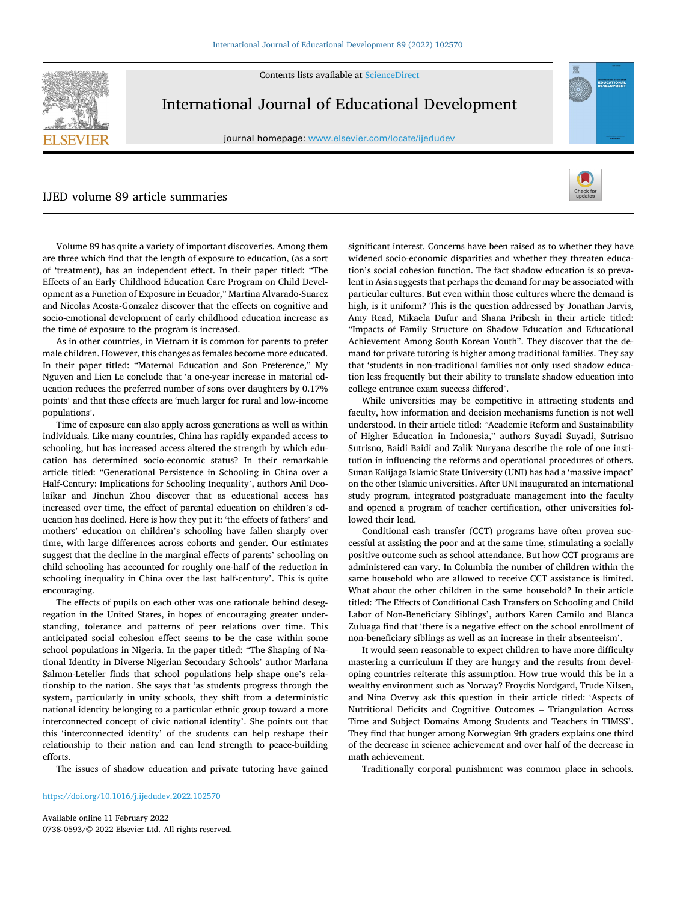Contents lists available at [ScienceDirect](www.sciencedirect.com/science/journal/07380593)



International Journal of Educational Development

journal homepage: [www.elsevier.com/locate/ijedudev](https://www.elsevier.com/locate/ijedudev)

## IJED volume 89 article summaries



EDUCATIONA

Volume 89 has quite a variety of important discoveries. Among them are three which find that the length of exposure to education, (as a sort of 'treatment), has an independent effect. In their paper titled: "The Effects of an Early Childhood Education Care Program on Child Development as a Function of Exposure in Ecuador," Martina Alvarado-Suarez and Nicolas Acosta-Gonzalez discover that the effects on cognitive and socio-emotional development of early childhood education increase as the time of exposure to the program is increased.

As in other countries, in Vietnam it is common for parents to prefer male children. However, this changes as females become more educated. In their paper titled: "Maternal Education and Son Preference," My Nguyen and Lien Le conclude that 'a one-year increase in material education reduces the preferred number of sons over daughters by 0.17% points' and that these effects are 'much larger for rural and low-income populations'.

Time of exposure can also apply across generations as well as within individuals. Like many countries, China has rapidly expanded access to schooling, but has increased access altered the strength by which education has determined socio-economic status? In their remarkable article titled: "Generational Persistence in Schooling in China over a Half-Century: Implications for Schooling Inequality', authors Anil Deolaikar and Jinchun Zhou discover that as educational access has increased over time, the effect of parental education on children's education has declined. Here is how they put it: 'the effects of fathers' and mothers' education on children's schooling have fallen sharply over time, with large differences across cohorts and gender. Our estimates suggest that the decline in the marginal effects of parents' schooling on child schooling has accounted for roughly one-half of the reduction in schooling inequality in China over the last half-century'. This is quite encouraging.

The effects of pupils on each other was one rationale behind desegregation in the United Stares, in hopes of encouraging greater understanding, tolerance and patterns of peer relations over time. This anticipated social cohesion effect seems to be the case within some school populations in Nigeria. In the paper titled: "The Shaping of National Identity in Diverse Nigerian Secondary Schools' author Marlana Salmon-Letelier finds that school populations help shape one's relationship to the nation. She says that 'as students progress through the system, particularly in unity schools, they shift from a deterministic national identity belonging to a particular ethnic group toward a more interconnected concept of civic national identity'. She points out that this 'interconnected identity' of the students can help reshape their relationship to their nation and can lend strength to peace-building efforts.

The issues of shadow education and private tutoring have gained

<https://doi.org/10.1016/j.ijedudev.2022.102570>

Available online 11 February 2022 0738-0593/© 2022 Elsevier Ltd. All rights reserved. significant interest. Concerns have been raised as to whether they have widened socio-economic disparities and whether they threaten education's social cohesion function. The fact shadow education is so prevalent in Asia suggests that perhaps the demand for may be associated with particular cultures. But even within those cultures where the demand is high, is it uniform? This is the question addressed by Jonathan Jarvis, Amy Read, Mikaela Dufur and Shana Pribesh in their article titled: "Impacts of Family Structure on Shadow Education and Educational Achievement Among South Korean Youth". They discover that the demand for private tutoring is higher among traditional families. They say that 'students in non-traditional families not only used shadow education less frequently but their ability to translate shadow education into college entrance exam success differed'.

While universities may be competitive in attracting students and faculty, how information and decision mechanisms function is not well understood. In their article titled: "Academic Reform and Sustainability of Higher Education in Indonesia," authors Suyadi Suyadi, Sutrisno Sutrisno, Baidi Baidi and Zalik Nuryana describe the role of one institution in influencing the reforms and operational procedures of others. Sunan Kalijaga Islamic State University (UNI) has had a 'massive impact' on the other Islamic universities. After UNI inaugurated an international study program, integrated postgraduate management into the faculty and opened a program of teacher certification, other universities followed their lead.

Conditional cash transfer (CCT) programs have often proven successful at assisting the poor and at the same time, stimulating a socially positive outcome such as school attendance. But how CCT programs are administered can vary. In Columbia the number of children within the same household who are allowed to receive CCT assistance is limited. What about the other children in the same household? In their article titled: 'The Effects of Conditional Cash Transfers on Schooling and Child Labor of Non-Beneficiary Siblings', authors Karen Camilo and Blanca Zuluaga find that 'there is a negative effect on the school enrollment of non-beneficiary siblings as well as an increase in their absenteeism'.

It would seem reasonable to expect children to have more difficulty mastering a curriculum if they are hungry and the results from developing countries reiterate this assumption. How true would this be in a wealthy environment such as Norway? Froydis Nordgard, Trude Nilsen, and Nina Overvy ask this question in their article titled: 'Aspects of Nutritional Deficits and Cognitive Outcomes – Triangulation Across Time and Subject Domains Among Students and Teachers in TIMSS'. They find that hunger among Norwegian 9th graders explains one third of the decrease in science achievement and over half of the decrease in math achievement.

Traditionally corporal punishment was common place in schools.